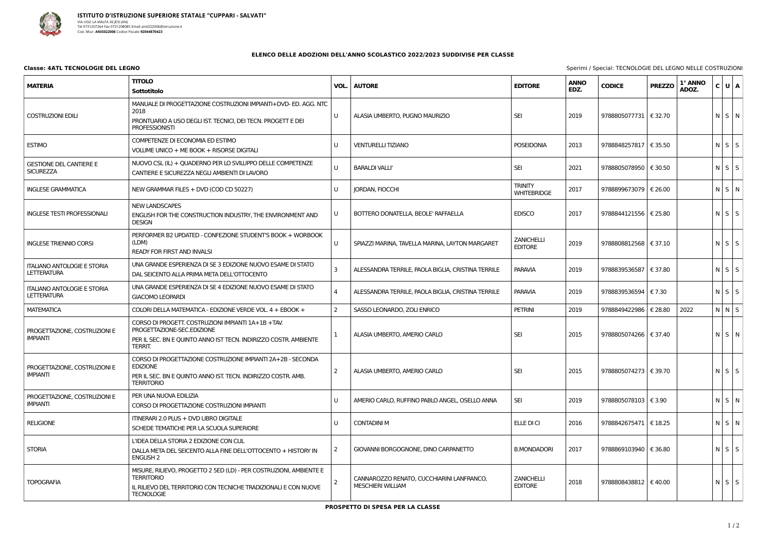

## ELENCO DELLE ADOZIONI DELL'ANNO SCOLASTICO 2022/2023 SUDDIVISE PER CLASSE

## **Classe: 4ATL TECNOLOGIE DEL LEGNO**

**TITOLO ANNO MATERIA** VOL. **AUTORE EDITORE** EDZ. **Sottotitolo** MANUALE DI PROGETTAZIONE COSTRUZIONI IMPIANTI+DVD- ED. AGG. NTC 2018  $\cup$ **SEI** 2019 **COSTRUZIONI EDILI** ALASIA UMBERTO, PUGNO MAURIZIO PRONTUARIO A USO DEGLI IST. TECNICI. DEI TECN. PROGETT E DEI **PROFESSIONISTI** COMPETENZE DI ECONOMIA ED ESTIMO **ESTIMO**  $\mathsf{U}$ **VENTURELLI TIZIANO POSEIDONIA** 2013 VOLUME UNICO + ME BOOK + RISORSE DIGITALI NUOVO CSL (IL) + QUADERNO PER LO SVILUPPO DELLE COMPETENZE **GESTIONE DEL CANTIERE E**  $\overline{U}$ **BARALDI VALLI SEI** 2021 SICURF77A CANTIERE E SICUREZZA NEGLI AMBIENTI DI LAVORO **TRINITY INGLESE GRAMMATICA** NEW GRAMMAR FILES + DVD (COD CD 50227)  $\mathbf{U}$ **IORDAN, FIOCCHI** 2017 **WHITEBRIDGE NEW LANDSCAPES**  $\cup$ **EDISCO** 2017 **INGLESE TESTI PROFESSIONALI** BOTTERO DONATELLA, BEOLE' RAFFAELLA ENGLISH FOR THE CONSTRUCTION INDUSTRY, THE ENVIRONMENT AND **DESIGN** PERFORMER B2 UPDATED - CONFEZIONE STUDENT'S BOOK + WORBOOK **ZANICHELLI** (LDM) **INGLESE TRIENNIO CORSI** U SPIAZZI MARINA, TAVELLA MARINA, LAYTON MARGARET 2019 **EDITORE** READY FOR FIRST AND INVALSI UNA GRANDE ESPERIENZA DI SE 3 EDIZIONE NUOVO ESAME DI STATO **ITALIANO ANTOLOGIE E STORIA**  $\overline{\mathbf{z}}$ ALESSANDRA TERRILE, PAOLA BIGLIA, CRISTINA TERRILE **PARAVIA** 2019 **LETTERATURA** DAL SEICENTO ALLA PRIMA META DELL'OTTOCENTO UNA GRANDE ESPERIENZA DI SE 4 EDIZIONE NUOVO ESAME DI STATO **ITALIANO ANTOLOGIE E STORIA**  $\Delta$ 2019 ALESSANDRA TERRILE, PAOLA BIGLIA, CRISTINA TERRILE **PARAVIA LETTERATURA GIACOMO LEOPARDI**  $\overline{z}$ **MATFMATICA** COLORI DELLA MATEMATICA - FDIZIONE VERDE VOL.  $4 +$  FBOOK + SASSO I FONARDO, ZOI I FNRICO **PFTRINI** 2019 CORSO DI PROGETT. COSTRUZIONI IMPIANTI 1A+1B +TAV. PROGETTAZIONE-SEC.EDIZIONE PROGETTAZIONE, COSTRUZIONI E **SEI** 2015  $\mathbf{1}$ ALASIA UMBERTO, AMERIO CARLO **IMPIANTI** PER IL SEC. BN E OUINTO ANNO IST TECN. INDIRIZZO COSTR. AMBIENTE **TERRIT.** CORSO DI PROGETTAZIONE COSTRUZIONE IMPIANTI 2A+2B - SECONDA **FDIZIONE** PROGETTAZIONE, COSTRUZIONI E **SEI**  $\overline{2}$ ALASIA UMBERTO, AMERIO CARLO 2015 **IMPIANTI** PER IL SEC. BN E QUINTO ANNO IST. TECN. INDIRIZZO COSTR. AMB. **TERRITORIO** PER UNA NUOVA EDILIZIA PROGETTAZIONE, COSTRUZIONI E U AMERIO CARLO, RUFFINO PABLO ANGEL, OSELLO ANNA **SEI** 2019 **IMPIANTI** CORSO DI PROGETTAZIONE COSTRUZIONI IMPIANTI ITINERARI 2.0 PLUS + DVD LIBRO DIGITALE **RELIGIONE**  $\overline{U}$ **CONTADINI M FILE DICI** 2016 SCHEDE TEMATICHE PER LA SCUOLA SUPERIORE L'IDEA DELLA STORIA 2 EDIZIONE CON CLIL **STORIA**  $\overline{2}$ GIOVANNI BORGOGNONE, DINO CARPANETTO **B.MONDADORI** 2017 DALLA META DEL SEICENTO ALLA FINE DELL'OTTOCENTO + HISTORY IN **ENGLISH 2** MISURE, RILIEVO, PROGETTO 2 5ED (LD) - PER COSTRUZIONI, AMBIENTE E **TFRRITORIO** CANNAROZZO RENATO, CUCCHIARINI LANFRANCO, **ZANICHELLI** 2018 **TOPOGRAFIA**  $\mathcal{P}$ **MESCHIERI WILLIAM EDITORE** IL RILIEVO DEL TERRITORIO CON TECNICHE TRADIZIONALI E CON NUOVE **TECNOLOGIE** 

PROSPETTO DI SPESA PER LA CLASSE

| D | <b>CODICE</b>           | <b>PREZZO</b>          | 1° ANNO<br>ADOZ. | C | U            | A |
|---|-------------------------|------------------------|------------------|---|--------------|---|
|   | 9788805077731   € 32.70 |                        |                  | N | S            | N |
|   | 9788848257817   € 35.50 |                        |                  | N | S            | S |
|   | 9788805078950           | $\in$ 30.50            |                  | N | S            | S |
|   | 9788899673079           | $\vert \epsilon$ 26.00 |                  | N | S            | N |
|   | 9788844121556   € 25.80 |                        |                  | N | S            | S |
|   | 9788808812568           | $\leq 37.10$           |                  | N | S            | S |
|   | 9788839536587   € 37.80 |                        |                  | N | S            | S |
|   | 9788839536594           | $\epsilon$ 7.30        |                  | N | S            | S |
|   | 9788849422986           | € 28.80                | 2022             | N | N            | S |
|   | 9788805074266   € 37.40 |                        |                  | N | S            | N |
|   | 9788805074273   € 39.70 |                        |                  | N | $\mathsf{S}$ | S |
|   | 9788805078103           | $\epsilon$ 3.90        |                  | N | S            | N |
|   | 9788842675471           | $\vert$ € 18.25        |                  | N | S            | N |
|   | 9788869103940           | € 36.80                |                  | N | S            | S |
|   | 9788808438812   € 40.00 |                        |                  | N | S            | S |

Sperimi / Special: TECNOLOGIE DEL LEGNO NELLE COSTRUZIONI